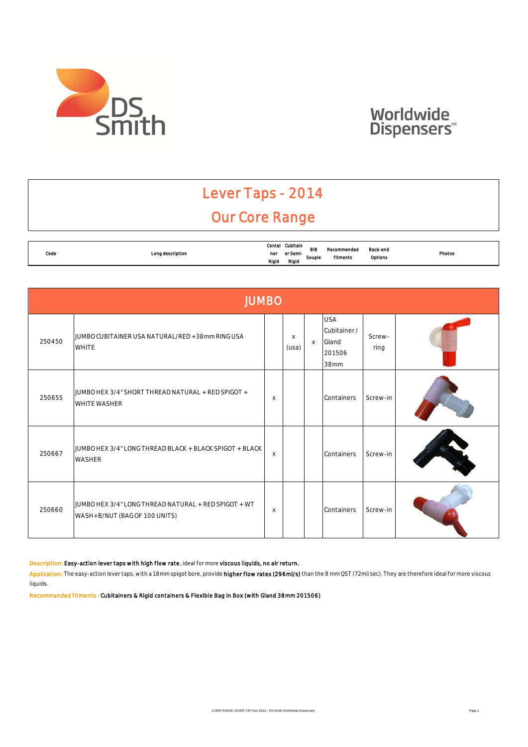

### Lever Taps - 2014 Our Core Range

|           |                  |        | Cubitain |            |             |          |        |
|-----------|------------------|--------|----------|------------|-------------|----------|--------|
|           |                  | Contal |          | <b>BIE</b> | Recommended | Back-end |        |
| Code<br>. | Long description | ner    | er Semi- |            |             |          | Photos |
|           |                  | Rigid  | Rigia    | Souple     | fitments    | Options  |        |

|        | <b>JUMBO</b>                                                                          |          |                   |          |                                                       |                |  |  |  |  |  |  |
|--------|---------------------------------------------------------------------------------------|----------|-------------------|----------|-------------------------------------------------------|----------------|--|--|--|--|--|--|
| 250450 | JUMBO CUBITAINER USA NATURAL/RED +38mm RING USA<br><b>WHITE</b>                       |          | $\times$<br>(usa) | $\times$ | <b>USA</b><br>Cubitainer /<br>Gland<br>201506<br>38mm | Screw-<br>ring |  |  |  |  |  |  |
| 250655 | JUMBO HEX 3/4" SHORT THREAD NATURAL + RED SPIGOT +<br><b>WHITE WASHER</b>             | X        |                   |          | Containers                                            | Screw-in       |  |  |  |  |  |  |
| 250667 | JUMBO HEX 3/4" LONG THREAD BLACK + BLACK SPIGOT + BLACK<br><b>WASHER</b>              | X        |                   |          | Containers                                            | Screw-in       |  |  |  |  |  |  |
| 250660 | JUMBO HEX 3/4" LONG THREAD NATURAL + RED SPIGOT + WT<br>WASH+B/NUT (BAG OF 100 UNITS) | $\times$ |                   |          | Containers                                            | Screw-in       |  |  |  |  |  |  |

#### Description: Easy-action lever taps with high flow rate, ideal for more viscous liquids, no air return.

Application: The easy-action lever taps, with a 18mm spigot bore, provide higher flow rates (296ml/s) than the 8 mm QST (72ml/sec). They are therefore ideal for more viscous liquids.

Recommanded fitments : Cubitainers & Rigid containers & Flexible Bag In Box (with Gland 38mm 201506)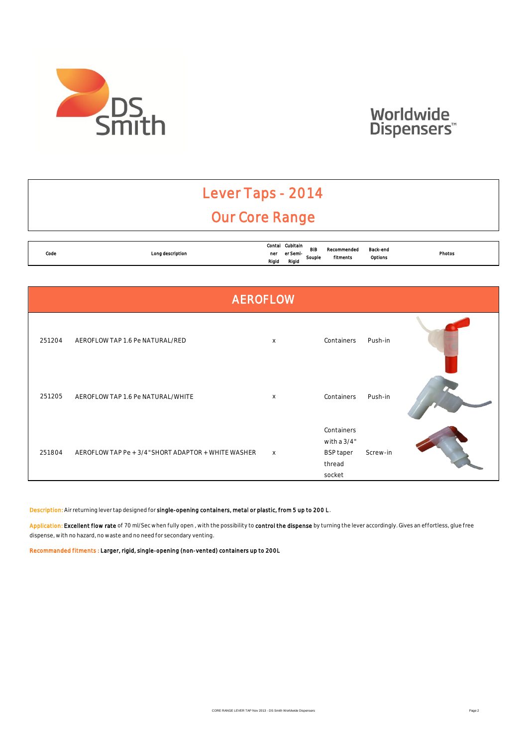

### Lever Taps - 2014 Our Core Range

|           |                              | Contal | Cubitain |            |             |          |        |
|-----------|------------------------------|--------|----------|------------|-------------|----------|--------|
| Code<br>. | Long description<br>$\cdots$ | ner    | er Semi- | <b>BIB</b> | Recommended | Back-end | Photos |
|           |                              | Rigid  | Rigid    | Souple     | fitments    | Options  |        |

|        |                                                     | <b>AEROFLOW</b> |                                                                   |          |  |
|--------|-----------------------------------------------------|-----------------|-------------------------------------------------------------------|----------|--|
| 251204 | AEROFLOW TAP 1.6 Pe NATURAL/RED                     | X               | Containers                                                        | Push-in  |  |
| 251205 | AEROFLOW TAP 1.6 Pe NATURAL/WHITE                   | $\mathsf X$     | Containers                                                        | Push-in  |  |
| 251804 | AEROFLOW TAP Pe + 3/4" SHORT ADAPTOR + WHITE WASHER | $\mathsf{X}$    | Containers<br>with a 3/4"<br><b>BSP</b> taper<br>thread<br>socket | Screw-in |  |

Description: Air returning lever tap designed for single-opening containers, metal or plastic, from 5 up to 200 L.

Application: Excellent flow rate of 70 ml/Sec when fully open, with the possibility to control the dispense by turning the lever accordingly. Gives an effortless, glue free dispense, with no hazard, no waste and no need for secondary venting.

Recommanded fitments : Larger, rigid, single-opening (non-vented) containers up to 200L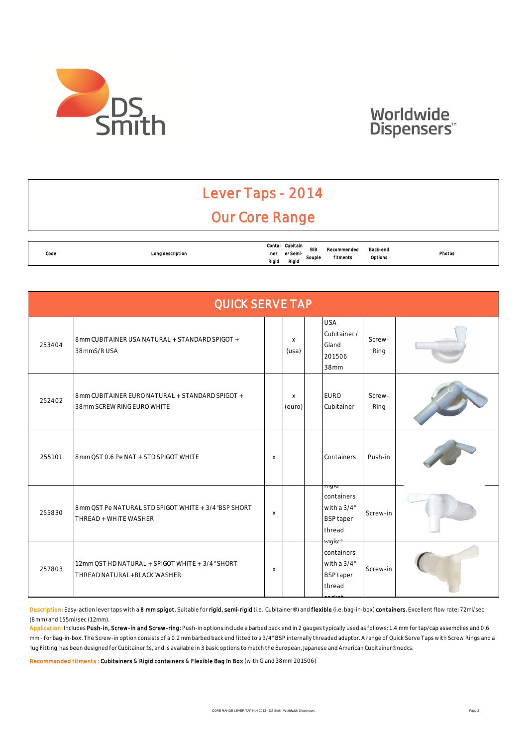

### Lever Taps - 2014 Our Core Range

|           |                  | Contal | Cubitain |               |                         |          |        |
|-----------|------------------|--------|----------|---------------|-------------------------|----------|--------|
| Code<br>. | Long description | ner    | er Semi- | BIB<br>Souple | Recommended<br>fitments | Back-end | Photos |
|           |                  | Rigid  | Rigid    |               |                         | Options  |        |

|        | <b>QUICK SERVE TAP</b>                                                         |              |                       |  |                                                                                           |                |  |  |  |  |  |  |
|--------|--------------------------------------------------------------------------------|--------------|-----------------------|--|-------------------------------------------------------------------------------------------|----------------|--|--|--|--|--|--|
| 253404 | 8mm CUBITAINER USA NATURAL + STANDARD SPIGOT +<br>38mmS/RUSA                   |              | $\mathsf{X}$<br>(usa) |  | <b>USA</b><br>Cubitainer /<br>Gland<br>201506<br>38mm                                     | Screw-<br>Ring |  |  |  |  |  |  |
| 252402 | 8mm CUBITAINER EURO NATURAL + STANDARD SPIGOT +<br>38mm SCREW RING EURO WHITE  |              | $\times$<br>(euro)    |  | <b>EURO</b><br>Cubitainer                                                                 | Screw-<br>Ring |  |  |  |  |  |  |
| 255101 | 8mm OST 0.6 Pe NAT + STD SPIGOT WHITE                                          | $\times$     |                       |  | Containers                                                                                | Push-in        |  |  |  |  |  |  |
| 255830 | 8mm OST Pe NATURAL STD SPIGOT WHITE + 3/4"BSP SHORT<br>THREAD + WHITE WASHER   | $\mathsf{X}$ |                       |  | <del>Kiyiu.</del><br>containers<br>with a $3/4"$<br><b>BSP</b> taper<br>thread            | Screw-in       |  |  |  |  |  |  |
| 257803 | 12mm OST HD NATURAL + SPIGOT WHITE + 3/4" SHORT<br>THREAD NATURAL+BLACK WASHER | $\mathsf X$  |                       |  | <del>ragla<sup>+</sup></del><br>containers<br>with a $3/4"$<br><b>BSP</b> taper<br>thread | Screw-in       |  |  |  |  |  |  |

Description: Easy-action lever taps with a 8 mm spigot. Suitable for rigid, semi-rigid (i.e. 'Cubitainer®') and flexible (i.e. bag-in-box) containers. Excellent flow rate: 72ml/sec (8mm) and 155ml/sec (12mm).

Application: Includes Push-in, Screw-in and Screw-ring: Push-in options include a barbed back end in 2 gauges typically used as follows: 1.4 mm for tap/cap assemblies and 0.6 mm - for bag-in-box. The Screw-in option consists of a 0.2 mm barbed back end fitted to a 3/4" BSP internally threaded adaptor. A range of Quick Serve Taps with Screw Rings and a 'lug Fitting' has been designed for Cubitainer®s, and is available in 3 basic options to match the European, Japanese and American Cubitainer® necks.

Recommanded fitments : Cubitainers & Rigid containers & Flexible Bag In Box (with Gland 38mm 201506)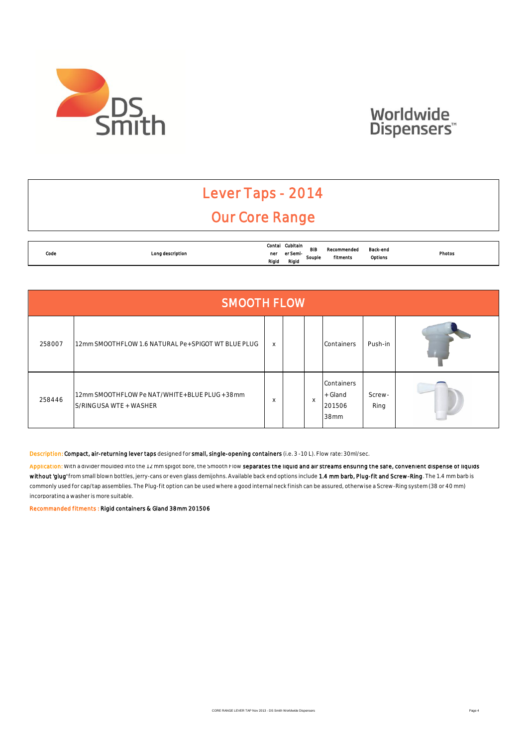

### Lever Taps - 2014 Our Core Range

| Code<br>. | Long description | Contal<br>ner | Cubitain<br>er Seml- | <b>BIB</b><br>Souple | Recommended<br>fitments | Back-end<br>Options | Photos<br>. |
|-----------|------------------|---------------|----------------------|----------------------|-------------------------|---------------------|-------------|
|           |                  | Rigid         | Rigia                |                      |                         |                     |             |

|        | <b>SMOOTH FLOW</b>                                                         |          |  |          |                                         |                |  |  |  |  |  |
|--------|----------------------------------------------------------------------------|----------|--|----------|-----------------------------------------|----------------|--|--|--|--|--|
| 258007 | 12mm SMOOTHFLOW 1.6 NATURAL Pe+SPIGOT WT BLUE PLUG                         | $\times$ |  |          | Containers                              | Push-in        |  |  |  |  |  |
| 258446 | 12mm SMOOTHFLOW Pe NAT/WHITE + BLUE PLUG + 38mm<br>S/RING USA WTE + WASHER | $\times$ |  | $\times$ | Containers<br>+ Gland<br>201506<br>38mm | Screw-<br>Ring |  |  |  |  |  |

Description: Compact, air-returning lever taps designed for small, single-opening containers (i.e. 3 -10 L). Flow rate: 30ml/sec.

Application: With a divider moulded into the 12 mm spigot bore, the Smooth Flow separates the liquid and air streams ensuring the safe, convenient dispense of liquids without 'glug' from small blown bottles, jerry-cans or even glass demijohns. Available back end options include 1.4 mm barb, Plug-fit and Screw-Ring. The 1.4 mm barb is commonly used for cap/tap assemblies. The Plug-fit option can be used where a good internal neck finish can be assured, otherwise a Screw-Ring system (38 or 40 mm) incorporating a washer is more suitable.

Recommanded fitments : Rigid containers & Gland 38mm 201506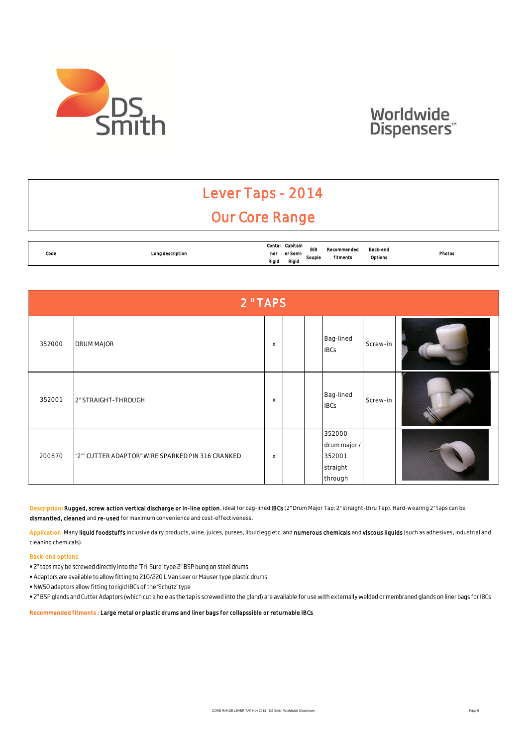



### Lever Taps - 2014 Our Core Range

| Code | Long description | Contal       | Cubitain<br>er Semi- | <b>BIB</b> | Recommended | Back-end | Photos |
|------|------------------|--------------|----------------------|------------|-------------|----------|--------|
| .    |                  | ner<br>Rigid | Rigia                | Souple     | fitments    | Options  |        |

|        | 2 "TAPS                                           |                           |  |  |                                                         |          |  |  |  |  |  |
|--------|---------------------------------------------------|---------------------------|--|--|---------------------------------------------------------|----------|--|--|--|--|--|
| 352000 | <b>DRUM MAJOR</b>                                 | $\boldsymbol{\mathsf{X}}$ |  |  | Bag-lined<br><b>IBCs</b>                                | Screw-in |  |  |  |  |  |
| 352001 | 2" STRAIGHT-THROUGH                               | X                         |  |  | Bag-lined<br><b>IBCs</b>                                | Screw-in |  |  |  |  |  |
| 200870 | "2"" CUTTER ADAPTOR" WIRE SPARKED PIN 316 CRANKED | $\boldsymbol{\mathsf{X}}$ |  |  | 352000<br>drum major /<br>352001<br>straight<br>through |          |  |  |  |  |  |

Description: Rugged, screw action vertical discharge or in-line option, ideal for bag-lined IBCs (2" Drum Major Tap; 2" straight-thru Tap). Hard-wearing 2" taps can be dismantled, cleaned and re-used for maximum convenience and cost-effectiveness.

Application: Many liquid foodstuffs inclusive dairy products, wine, juices, purees, liquid egg etc. and numerous chemicals and viscous liquids (such as adhesives, industrial and cleaning chemicals).

#### Back-end options

- . 2" taps may be screwed directly into the 'Tri-Sure' type 2" BSP bung on steel drums
- . Adaptors are available to allow fitting to 210/220 L Van Leer or Mauser type plastic drums
- . NW50 adaptors allow fitting to rigid IBCs of the 'Schütz' type
- . Z" BSP glands and Cutter Adaptors (which cut a hole as the tap is screwed into the gland) are available for use with externally welded or membraned glands on liner bags for IBCs

Recommanded fitments : Large metal or plastic drums and liner bags for collapssible or returnable IBCs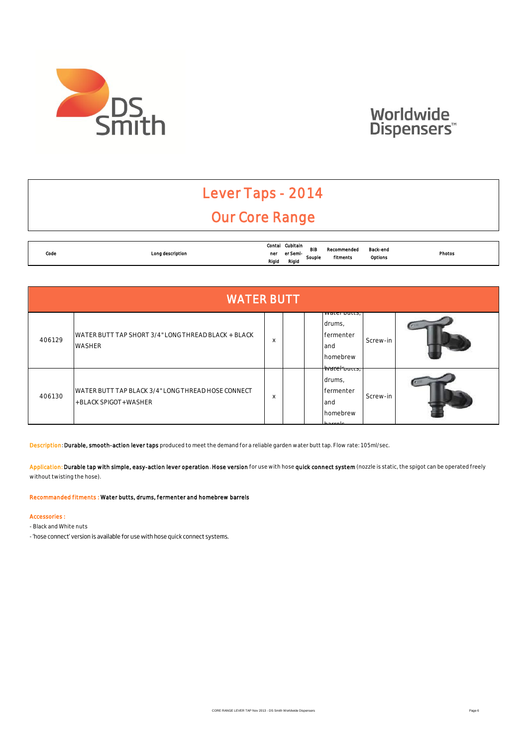

### Lever Taps - 2014 Our Core Range

|           |                  | Contal | Cubitain | <b>BIB</b> |             |          |        |
|-----------|------------------|--------|----------|------------|-------------|----------|--------|
| Code<br>. | Long description | ner    | er Semi- |            | Recommended | Back-end | Photos |
|           |                  | Rigid  | Rigia    | Souple     | fitments    | Options  |        |

|        | <b>WATER BUTT</b>                                                          |          |  |                                                               |          |  |  |  |  |  |  |  |
|--------|----------------------------------------------------------------------------|----------|--|---------------------------------------------------------------|----------|--|--|--|--|--|--|--|
| 406129 | WATER BUTT TAP SHORT 3/4" LONG THREAD BLACK + BLACK<br><b>WASHER</b>       | $\times$ |  | water butts,<br>drums,<br>fermenter<br>and<br><b>homebrew</b> | Screw-in |  |  |  |  |  |  |  |
| 406130 | WATER BUTT TAP BLACK 3/4" LONG THREAD HOSE CONNECT<br>+BLACK SPIGOT+WASHER | $\times$ |  | watel vulls,<br>drums,<br>fermenter<br>and<br>homebrew        | Screw-in |  |  |  |  |  |  |  |

Description: Durable, smooth-action lever taps produced to meet the demand for a reliable garden water butt tap. Flow rate: 105ml/sec.

Application: Durable tap with simple, easy-action lever operation. Hose version for use with hose quick connect system (nozzle is static, the spigot can be operated freely without twisting the hose).

Recommanded fitments : Water butts, drums, fermenter and homebrew barrels

#### Accessories :

- Black and White nuts

- 'hose connect' version is available for use with hose quick connect systems.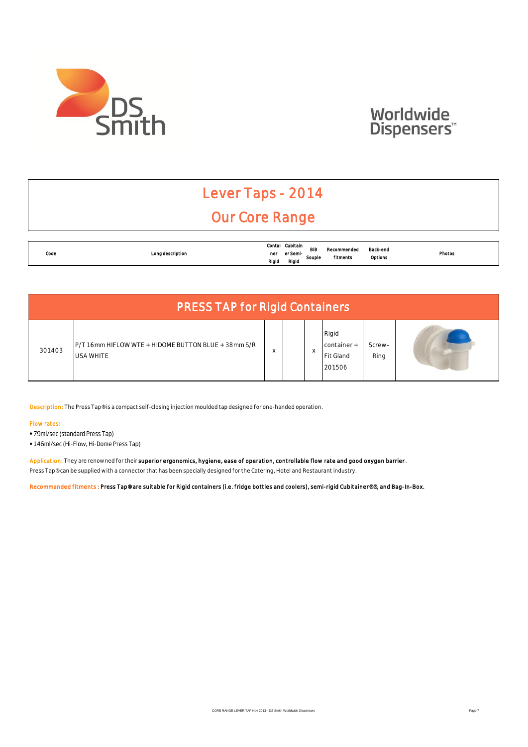

## Lever Taps - 2014

### Our Core Range

| Code<br>. |                  | Contal       | Cubitain          | <b>BIB</b> | Recommended | Back-end<br>Photos<br>Options |  |
|-----------|------------------|--------------|-------------------|------------|-------------|-------------------------------|--|
|           | Long description | ner<br>Rigid | er Semi-<br>Rigia | Souple     | fitments    |                               |  |

| <b>PRESS TAP for Rigid Containers</b> |                                                                         |   |  |   |                                             |                |   |  |
|---------------------------------------|-------------------------------------------------------------------------|---|--|---|---------------------------------------------|----------------|---|--|
| 301403                                | P/T 16mm HIFLOW WTE + HIDOME BUTTON BLUE + 38mm S/R<br><b>USA WHITE</b> | X |  | X | Rigid<br>container +<br>Fit Gland<br>201506 | Screw-<br>Ring | ٠ |  |

Description: The Press Tap® is a compact self-closing injection moulded tap designed for one-handed operation.

#### Flow rates:

- 79ml/sec (standard Press Tap)
- 146ml/sec (Hi-Flow, Hi-Dome Press Tap)

Application: They are renowned for their superior ergonomics, hygiene, ease of operation, controllable flow rate and good oxygen barrier Press Tap® can be supplied with a connector that has been specially designed for the Catering, Hotel and Restaurant industry.

Recommanded fitments : Press Tap® are suitable for Rigid containers (i.e. fridge bottles and coolers), semi-rigid Cubitainer®®, and Bag-In-Box.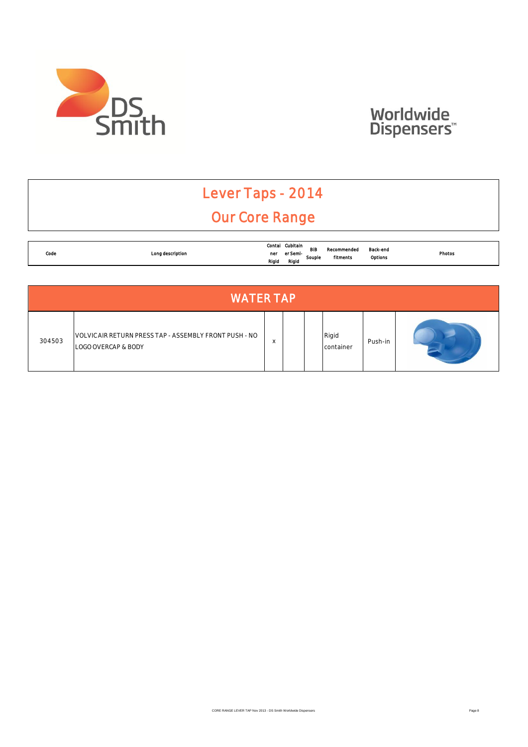

## Lever Taps - 2014

### Our Core Range

|      |                  | Contal | Cubitain | BIB    |                         |                     |        |
|------|------------------|--------|----------|--------|-------------------------|---------------------|--------|
| Code | Long description | ner    | er Semi- | Souple | Recommended<br>fitments | Back-end<br>Options | Photos |
|      |                  | Rigid  | Rigid    |        |                         |                     |        |

| <b>WATER TAP</b> |                                                                               |                        |  |  |                    |         |  |
|------------------|-------------------------------------------------------------------------------|------------------------|--|--|--------------------|---------|--|
| 304503           | VOLVIC AIR RETURN PRESS TAP - ASSEMBLY FRONT PUSH - NO<br>LOGO OVERCAP & BODY | $\lambda$<br>$\lambda$ |  |  | Rigid<br>container | Push-in |  |